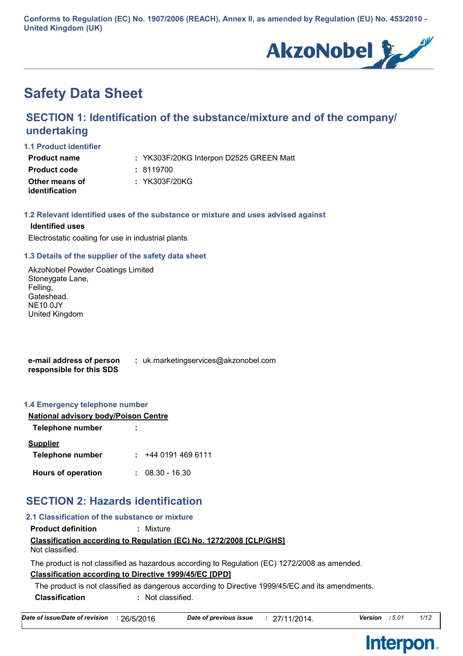**Conforms to Regulation (EC) No. 1907/2006 (REACH), Annex II, as amended by Regulation (EU) No. 453/2010 - United Kingdom (UK)**



# **Safety Data Sheet**

### **SECTION 1: Identification of the substance/mixture and of the company/ undertaking**

**1.1 Product identifier**

| <b>Product name</b>   | : YK303F/20KG Interpon D2525 GREEN Matt |
|-----------------------|-----------------------------------------|
| <b>Product code</b>   | : 8119700                               |
| Other means of        | : YK303F/20KG                           |
| <i>identification</i> |                                         |

#### **1.2 Relevant identified uses of the substance or mixture and uses advised against**

#### **Identified uses**

Electrostatic coating for use in industrial plants

#### **1.3 Details of the supplier of the safety data sheet**

AkzoNobel Powder Coatings Limited Stoneygate Lane, Felling, Gateshead. NE10 0JY United Kingdom

| e-mail address of person | : uk.marketingservices@akzonobel.com |
|--------------------------|--------------------------------------|
| responsible for this SDS |                                      |

#### **1.4 Emergency telephone number**

| <b>National advisory body/Poison Centre</b> |                   |  |
|---------------------------------------------|-------------------|--|
| <b>Telephone number</b>                     |                   |  |
| <b>Supplier</b>                             |                   |  |
| Telephone number                            | : 44401914696111  |  |
| <b>Hours of operation</b>                   | $: 08.30 - 16.30$ |  |

## **SECTION 2: Hazards identification**

### **Classification according to Regulation (EC) No. 1272/2008 [CLP/GHS] 2.1 Classification of the substance or mixture Product definition :** Mixture Not classified.

**Classification according to Directive 1999/45/EC [DPD]** The product is not classified as hazardous according to Regulation (EC) 1272/2008 as amended.

**Classification :** Not classified. The product is not classified as dangerous according to Directive 1999/45/EC and its amendments.

| Date of issue/Date of revision : 26/5/2016 |  | Date of previous issue | : 27/11/2014. | Version : 5.01 |  | 1/12 |
|--------------------------------------------|--|------------------------|---------------|----------------|--|------|
|--------------------------------------------|--|------------------------|---------------|----------------|--|------|



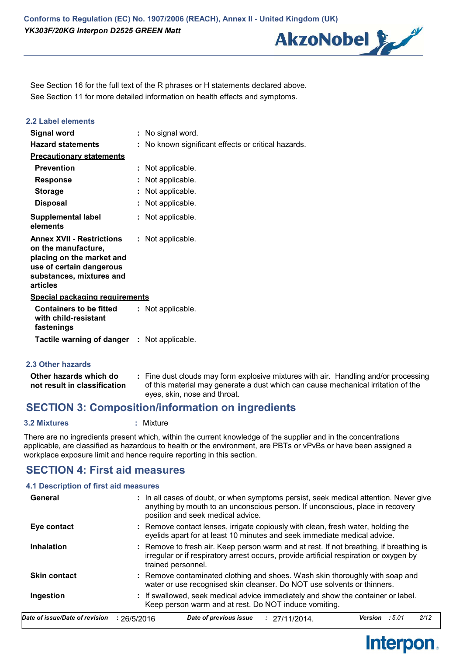

Interpon.

See Section 11 for more detailed information on health effects and symptoms. See Section 16 for the full text of the R phrases or H statements declared above.

| 2.2 Label elements                                                                                                                                       |                                                   |
|----------------------------------------------------------------------------------------------------------------------------------------------------------|---------------------------------------------------|
| <b>Signal word</b>                                                                                                                                       | : No signal word.                                 |
| <b>Hazard statements</b>                                                                                                                                 | No known significant effects or critical hazards. |
| <b>Precautionary statements</b>                                                                                                                          |                                                   |
| <b>Prevention</b>                                                                                                                                        | : Not applicable.                                 |
| <b>Response</b>                                                                                                                                          | Not applicable.                                   |
| <b>Storage</b>                                                                                                                                           | : Not applicable.                                 |
| <b>Disposal</b>                                                                                                                                          | : Not applicable.                                 |
| <b>Supplemental label</b><br>elements                                                                                                                    | : Not applicable.                                 |
| <b>Annex XVII - Restrictions</b><br>on the manufacture,<br>placing on the market and<br>use of certain dangerous<br>substances, mixtures and<br>articles | : Not applicable.                                 |
| <b>Special packaging requirements</b>                                                                                                                    |                                                   |
| <b>Containers to be fitted</b><br>with child-resistant<br>fastenings                                                                                     | : Not applicable.                                 |
| <b>Tactile warning of danger : Not applicable.</b>                                                                                                       |                                                   |

#### **2.3 Other hazards**

| Other hazards which do       | : Fine dust clouds may form explosive mixtures with air. Handling and/or processing |
|------------------------------|-------------------------------------------------------------------------------------|
| not result in classification | of this material may generate a dust which can cause mechanical irritation of the   |
|                              | eyes, skin, nose and throat.                                                        |

### **SECTION 3: Composition/information on ingredients**

**3.2 Mixtures :** Mixture

There are no ingredients present which, within the current knowledge of the supplier and in the concentrations applicable, are classified as hazardous to health or the environment, are PBTs or vPvBs or have been assigned a workplace exposure limit and hence require reporting in this section.

### **SECTION 4: First aid measures**

#### **4.1 Description of first aid measures**

| General                        | : In all cases of doubt, or when symptoms persist, seek medical attention. Never give<br>anything by mouth to an unconscious person. If unconscious, place in recovery<br>position and seek medical advice. |
|--------------------------------|-------------------------------------------------------------------------------------------------------------------------------------------------------------------------------------------------------------|
| Eye contact                    | : Remove contact lenses, irrigate copiously with clean, fresh water, holding the<br>eyelids apart for at least 10 minutes and seek immediate medical advice.                                                |
| <b>Inhalation</b>              | : Remove to fresh air. Keep person warm and at rest. If not breathing, if breathing is<br>irregular or if respiratory arrest occurs, provide artificial respiration or oxygen by<br>trained personnel.      |
| <b>Skin contact</b>            | : Remove contaminated clothing and shoes. Wash skin thoroughly with soap and<br>water or use recognised skin cleanser. Do NOT use solvents or thinners.                                                     |
| Ingestion                      | : If swallowed, seek medical advice immediately and show the container or label.<br>Keep person warm and at rest. Do NOT induce vomiting.                                                                   |
| Date of issue/Date of revision | 2/12<br>Date of previous issue<br>:5.01<br>Version<br>: 26/5/2016<br>: 27/11/2014                                                                                                                           |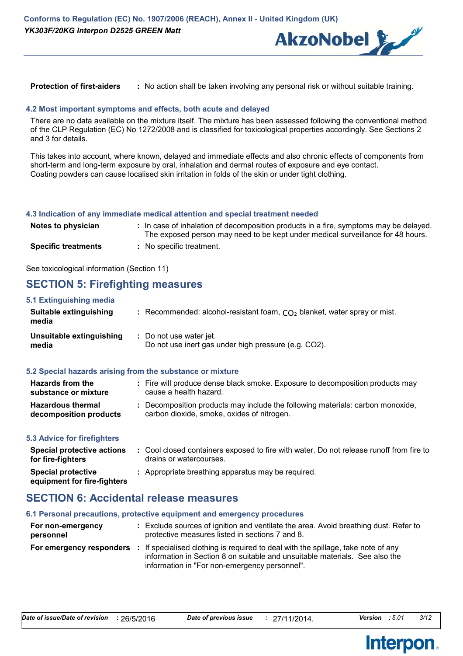

#### **Protection of first-aiders :** No action shall be taken involving any personal risk or without suitable training.

#### **4.2 Most important symptoms and effects, both acute and delayed**

There are no data available on the mixture itself. The mixture has been assessed following the conventional method of the CLP Regulation (EC) No 1272/2008 and is classified for toxicological properties accordingly. See Sections 2 and 3 for details.

This takes into account, where known, delayed and immediate effects and also chronic effects of components from short-term and long-term exposure by oral, inhalation and dermal routes of exposure and eye contact. Coating powders can cause localised skin irritation in folds of the skin or under tight clothing.

#### **4.3 Indication of any immediate medical attention and special treatment needed**

| Notes to physician         | : In case of inhalation of decomposition products in a fire, symptoms may be delayed.<br>The exposed person may need to be kept under medical surveillance for 48 hours. |
|----------------------------|--------------------------------------------------------------------------------------------------------------------------------------------------------------------------|
| <b>Specific treatments</b> | : No specific treatment.                                                                                                                                                 |

See toxicological information (Section 11)

### **SECTION 5: Firefighting measures**

| 5.1 Extinguishing media                                   |                                                                                 |  |
|-----------------------------------------------------------|---------------------------------------------------------------------------------|--|
| Suitable extinguishing<br>media                           | : Recommended: alcohol-resistant foam, $CO2$ blanket, water spray or mist.      |  |
| Unsuitable extinguishing<br>media                         | : Do not use water jet.<br>Do not use inert gas under high pressure (e.g. CO2). |  |
| 5.2 Special hazards arising from the substance or mixture |                                                                                 |  |
| <b>Hazards from the</b>                                   | : Fire will produce dense black smoke. Exposure to decomposition products may   |  |

| substance or mixture   | cause a health hazard.                                                       |
|------------------------|------------------------------------------------------------------------------|
| Hazardous thermal      | Decomposition products may include the following materials: carbon monoxide, |
| decomposition products | carbon dioxide, smoke, oxides of nitrogen.                                   |

#### **5.3 Advice for firefighters**

| Special protective actions<br>for fire-fighters          | : Cool closed containers exposed to fire with water. Do not release runoff from fire to<br>drains or watercourses. |
|----------------------------------------------------------|--------------------------------------------------------------------------------------------------------------------|
| <b>Special protective</b><br>equipment for fire-fighters | : Appropriate breathing apparatus may be required.                                                                 |

### **SECTION 6: Accidental release measures**

#### **6.1 Personal precautions, protective equipment and emergency procedures**

| For non-emergency<br>personnel | : Exclude sources of ignition and ventilate the area. Avoid breathing dust. Refer to<br>protective measures listed in sections 7 and 8.                                                                                                           |
|--------------------------------|---------------------------------------------------------------------------------------------------------------------------------------------------------------------------------------------------------------------------------------------------|
|                                | <b>For emergency responders</b> : If specialised clothing is required to deal with the spillage, take note of any<br>information in Section 8 on suitable and unsuitable materials. See also the<br>information in "For non-emergency personnel". |

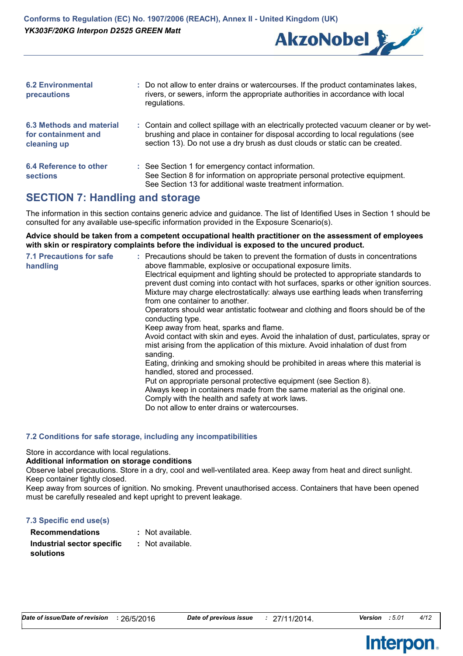

| <b>6.2 Environmental</b><br>precautions                        | : Do not allow to enter drains or watercourses. If the product contaminates lakes,<br>rivers, or sewers, inform the appropriate authorities in accordance with local<br>regulations.                                                                        |
|----------------------------------------------------------------|-------------------------------------------------------------------------------------------------------------------------------------------------------------------------------------------------------------------------------------------------------------|
| 6.3 Methods and material<br>for containment and<br>cleaning up | : Contain and collect spillage with an electrically protected vacuum cleaner or by wet-<br>brushing and place in container for disposal according to local regulations (see<br>section 13). Do not use a dry brush as dust clouds or static can be created. |
| 6.4 Reference to other<br><b>sections</b>                      | : See Section 1 for emergency contact information.<br>See Section 8 for information on appropriate personal protective equipment.<br>See Section 13 for additional waste treatment information.                                                             |

### **SECTION 7: Handling and storage**

The information in this section contains generic advice and guidance. The list of Identified Uses in Section 1 should be consulted for any available use-specific information provided in the Exposure Scenario(s).

**Advice should be taken from a competent occupational health practitioner on the assessment of employees with skin or respiratory complaints before the individual is exposed to the uncured product.**

| : Precautions should be taken to prevent the formation of dusts in concentrations<br>above flammable, explosive or occupational exposure limits.<br>handling<br>Electrical equipment and lighting should be protected to appropriate standards to<br>prevent dust coming into contact with hot surfaces, sparks or other ignition sources.<br>Mixture may charge electrostatically: always use earthing leads when transferring<br>from one container to another.<br>Operators should wear antistatic footwear and clothing and floors should be of the<br>conducting type.<br>Keep away from heat, sparks and flame.<br>Avoid contact with skin and eyes. Avoid the inhalation of dust, particulates, spray or<br>mist arising from the application of this mixture. Avoid inhalation of dust from<br>sanding.<br>Eating, drinking and smoking should be prohibited in areas where this material is<br>handled, stored and processed.<br>Put on appropriate personal protective equipment (see Section 8).<br>Always keep in containers made from the same material as the original one.<br>Comply with the health and safety at work laws.<br>Do not allow to enter drains or watercourses. | <b>7.1 Precautions for safe</b> |
|-----------------------------------------------------------------------------------------------------------------------------------------------------------------------------------------------------------------------------------------------------------------------------------------------------------------------------------------------------------------------------------------------------------------------------------------------------------------------------------------------------------------------------------------------------------------------------------------------------------------------------------------------------------------------------------------------------------------------------------------------------------------------------------------------------------------------------------------------------------------------------------------------------------------------------------------------------------------------------------------------------------------------------------------------------------------------------------------------------------------------------------------------------------------------------------------------|---------------------------------|
|-----------------------------------------------------------------------------------------------------------------------------------------------------------------------------------------------------------------------------------------------------------------------------------------------------------------------------------------------------------------------------------------------------------------------------------------------------------------------------------------------------------------------------------------------------------------------------------------------------------------------------------------------------------------------------------------------------------------------------------------------------------------------------------------------------------------------------------------------------------------------------------------------------------------------------------------------------------------------------------------------------------------------------------------------------------------------------------------------------------------------------------------------------------------------------------------------|---------------------------------|

#### **7.2 Conditions for safe storage, including any incompatibilities**

Store in accordance with local regulations.

#### **Additional information on storage conditions**

Observe label precautions. Store in a dry, cool and well-ventilated area. Keep away from heat and direct sunlight. Keep container tightly closed.

Keep away from sources of ignition. No smoking. Prevent unauthorised access. Containers that have been opened must be carefully resealed and kept upright to prevent leakage.

| 7.3 Specific end use(s)    |                  |
|----------------------------|------------------|
| <b>Recommendations</b>     | : Not available. |
| Industrial sector specific | : Not available. |
| solutions                  |                  |

**Interpon.** 

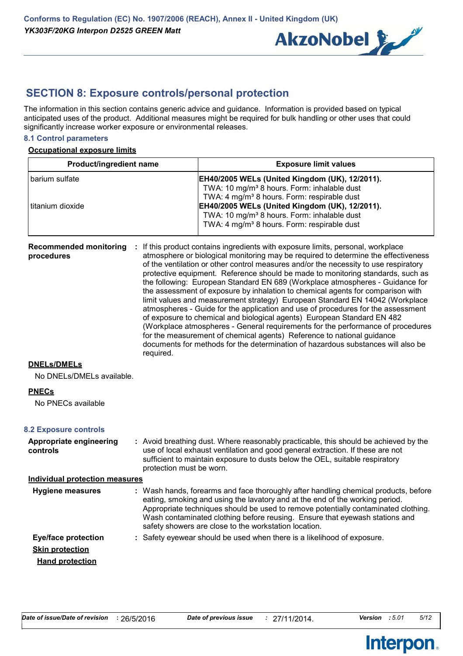

### **SECTION 8: Exposure controls/personal protection**

The information in this section contains generic advice and guidance. Information is provided based on typical anticipated uses of the product. Additional measures might be required for bulk handling or other uses that could significantly increase worker exposure or environmental releases.

#### **8.1 Control parameters**

#### **Occupational exposure limits**

| Product/ingredient name | <b>Exposure limit values</b>                            |
|-------------------------|---------------------------------------------------------|
| l barium sulfate        | <b>EH40/2005 WELs (United Kingdom (UK), 12/2011).</b>   |
|                         | TWA: 10 mg/m <sup>3</sup> 8 hours. Form: inhalable dust |
|                         | TWA: 4 mg/m <sup>3</sup> 8 hours. Form: respirable dust |
| l titanium dioxide      | EH40/2005 WELs (United Kingdom (UK), 12/2011).          |
|                         | TWA: 10 mg/m <sup>3</sup> 8 hours. Form: inhalable dust |
|                         | TWA: 4 mg/m <sup>3</sup> 8 hours. Form: respirable dust |
|                         |                                                         |

**Recommended monitoring : If this product contains ingredients with exposure limits, personal, workplace procedures** atmosphere or biological monitoring may be required to determine the effectiveness of the ventilation or other control measures and/or the necessity to use respiratory protective equipment. Reference should be made to monitoring standards, such as the following: European Standard EN 689 (Workplace atmospheres - Guidance for the assessment of exposure by inhalation to chemical agents for comparison with limit values and measurement strategy) European Standard EN 14042 (Workplace atmospheres - Guide for the application and use of procedures for the assessment of exposure to chemical and biological agents) European Standard EN 482 (Workplace atmospheres - General requirements for the performance of procedures for the measurement of chemical agents) Reference to national guidance documents for methods for the determination of hazardous substances will also be required.

#### **DNELs/DMELs**

No DNELs/DMELs available.

#### **PNECs**

No PNECs available

#### **8.2 Exposure controls**

| Appropriate engineering<br>controls   | : Avoid breathing dust. Where reasonably practicable, this should be achieved by the<br>use of local exhaust ventilation and good general extraction. If these are not<br>sufficient to maintain exposure to dusts below the OEL, suitable respiratory<br>protection must be worn.                                                                                                                |
|---------------------------------------|---------------------------------------------------------------------------------------------------------------------------------------------------------------------------------------------------------------------------------------------------------------------------------------------------------------------------------------------------------------------------------------------------|
| <b>Individual protection measures</b> |                                                                                                                                                                                                                                                                                                                                                                                                   |
| Hygiene measures                      | : Wash hands, forearms and face thoroughly after handling chemical products, before<br>eating, smoking and using the lavatory and at the end of the working period.<br>Appropriate techniques should be used to remove potentially contaminated clothing.<br>Wash contaminated clothing before reusing. Ensure that eyewash stations and<br>safety showers are close to the workstation location. |
| <b>Eye/face protection</b>            | : Safety eyewear should be used when there is a likelihood of exposure.                                                                                                                                                                                                                                                                                                                           |
| <b>Skin protection</b>                |                                                                                                                                                                                                                                                                                                                                                                                                   |

**Hand protection**

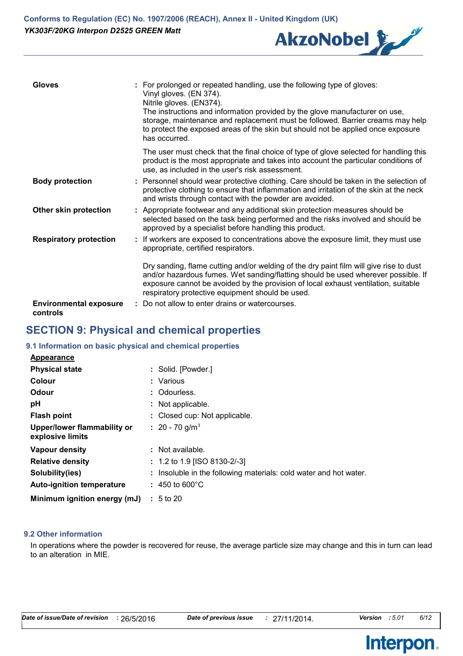

| <b>Gloves</b>                             | : For prolonged or repeated handling, use the following type of gloves:<br>Vinyl gloves. (EN 374).<br>Nitrile gloves. (EN374).<br>The instructions and information provided by the glove manufacturer on use,<br>storage, maintenance and replacement must be followed. Barrier creams may help<br>to protect the exposed areas of the skin but should not be applied once exposure<br>has occurred. |
|-------------------------------------------|------------------------------------------------------------------------------------------------------------------------------------------------------------------------------------------------------------------------------------------------------------------------------------------------------------------------------------------------------------------------------------------------------|
|                                           | The user must check that the final choice of type of glove selected for handling this<br>product is the most appropriate and takes into account the particular conditions of<br>use, as included in the user's risk assessment.                                                                                                                                                                      |
| <b>Body protection</b>                    | : Personnel should wear protective clothing. Care should be taken in the selection of<br>protective clothing to ensure that inflammation and irritation of the skin at the neck<br>and wrists through contact with the powder are avoided.                                                                                                                                                           |
| Other skin protection                     | : Appropriate footwear and any additional skin protection measures should be<br>selected based on the task being performed and the risks involved and should be<br>approved by a specialist before handling this product.                                                                                                                                                                            |
| <b>Respiratory protection</b>             | : If workers are exposed to concentrations above the exposure limit, they must use<br>appropriate, certified respirators.                                                                                                                                                                                                                                                                            |
|                                           | Dry sanding, flame cutting and/or welding of the dry paint film will give rise to dust<br>and/or hazardous fumes. Wet sanding/flatting should be used wherever possible. If<br>exposure cannot be avoided by the provision of local exhaust ventilation, suitable<br>respiratory protective equipment should be used.                                                                                |
| <b>Environmental exposure</b><br>controls | : Do not allow to enter drains or watercourses.                                                                                                                                                                                                                                                                                                                                                      |

### **SECTION 9: Physical and chemical properties**

#### **9.1 Information on basic physical and chemical properties**

| <b>Appearance</b>                               |                                                                   |
|-------------------------------------------------|-------------------------------------------------------------------|
| <b>Physical state</b>                           | : Solid. [Powder.]                                                |
| Colour                                          | : Various                                                         |
| Odour                                           | : Odourless.                                                      |
| pH                                              | : Not applicable.                                                 |
| <b>Flash point</b>                              | : Closed cup: Not applicable.                                     |
| Upper/lower flammability or<br>explosive limits | : 20 - 70 g/m <sup>3</sup>                                        |
| Vapour density                                  | : Not available.                                                  |
| <b>Relative density</b>                         | : 1.2 to 1.9 [ISO 8130-2/-3]                                      |
| Solubility(ies)                                 | : Insoluble in the following materials: cold water and hot water. |
| <b>Auto-ignition temperature</b>                | $: 450$ to 600 $^{\circ}$ C                                       |
| Minimum ignition energy (mJ)                    | $\pm 5$ to 20                                                     |

#### **9.2 Other information**

In operations where the powder is recovered for reuse, the average particle size may change and this in turn can lead to an alteration in MIE.

Interpon.

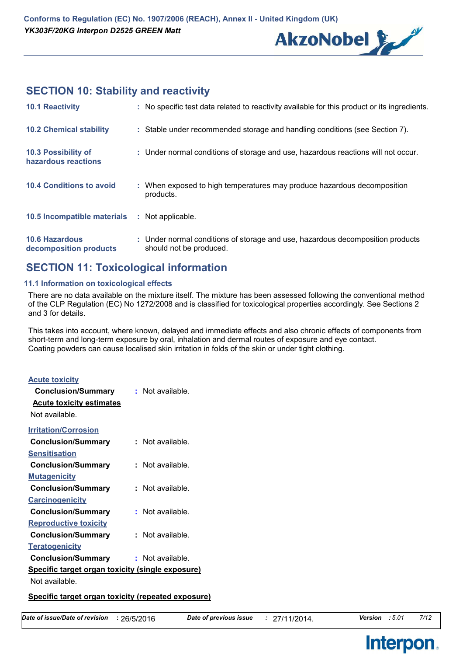

### **SECTION 10: Stability and reactivity**

| <b>10.1 Reactivity</b>                          | : No specific test data related to reactivity available for this product or its ingredients.              |
|-------------------------------------------------|-----------------------------------------------------------------------------------------------------------|
| <b>10.2 Chemical stability</b>                  | : Stable under recommended storage and handling conditions (see Section 7).                               |
| 10.3 Possibility of<br>hazardous reactions      | : Under normal conditions of storage and use, hazardous reactions will not occur.                         |
| <b>10.4 Conditions to avoid</b>                 | : When exposed to high temperatures may produce hazardous decomposition<br>products.                      |
| 10.5 Incompatible materials                     | : Not applicable.                                                                                         |
| <b>10.6 Hazardous</b><br>decomposition products | : Under normal conditions of storage and use, hazardous decomposition products<br>should not be produced. |

### **SECTION 11: Toxicological information**

#### **11.1 Information on toxicological effects**

There are no data available on the mixture itself. The mixture has been assessed following the conventional method of the CLP Regulation (EC) No 1272/2008 and is classified for toxicological properties accordingly. See Sections 2 and 3 for details.

This takes into account, where known, delayed and immediate effects and also chronic effects of components from short-term and long-term exposure by oral, inhalation and dermal routes of exposure and eye contact. Coating powders can cause localised skin irritation in folds of the skin or under tight clothing.

| <b>Acute toxicity</b>                                   |                  |  |  |  |
|---------------------------------------------------------|------------------|--|--|--|
| <b>Conclusion/Summary</b>                               | : Not available. |  |  |  |
| <b>Acute toxicity estimates</b>                         |                  |  |  |  |
| Not available.                                          |                  |  |  |  |
| <b>Irritation/Corrosion</b>                             |                  |  |  |  |
| <b>Conclusion/Summary</b>                               | Not available.   |  |  |  |
| Sensitisation                                           |                  |  |  |  |
| <b>Conclusion/Summary</b>                               | Not available.   |  |  |  |
| <u>Mutagenicity</u>                                     |                  |  |  |  |
| <b>Conclusion/Summary</b>                               | Not available.   |  |  |  |
| <u>Carcinogenicity</u>                                  |                  |  |  |  |
| <b>Conclusion/Summary</b>                               | Not available.   |  |  |  |
| <b>Reproductive toxicity</b>                            |                  |  |  |  |
| <b>Conclusion/Summary</b>                               | Not available.   |  |  |  |
| <b>Teratogenicity</b>                                   |                  |  |  |  |
| <b>Conclusion/Summary</b>                               | Not available.   |  |  |  |
| <u>Specific target organ toxicity (single exposure)</u> |                  |  |  |  |
| Not available.                                          |                  |  |  |  |
|                                                         |                  |  |  |  |

#### **Specific target organ toxicity (repeated exposure)**

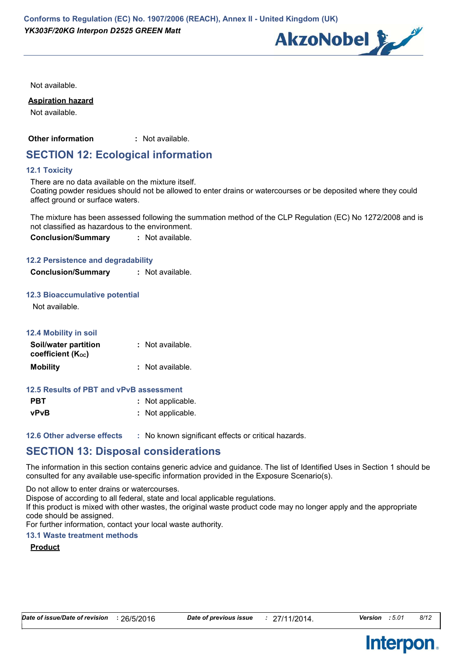

Not available.

#### **Aspiration hazard**

Not available.

**Other information :** : Not available.

### **SECTION 12: Ecological information**

#### **12.1 Toxicity**

There are no data available on the mixture itself. Coating powder residues should not be allowed to enter drains or watercourses or be deposited where they could affect ground or surface waters.

The mixture has been assessed following the summation method of the CLP Regulation (EC) No 1272/2008 and is not classified as hazardous to the environment.

**Conclusion/Summary :** Not available.

#### **12.2 Persistence and degradability**

| <b>Conclusion/Summary</b> | : Not available. |
|---------------------------|------------------|
|---------------------------|------------------|

#### **12.3 Bioaccumulative potential**

Not available.

| <b>12.4 Mobility in soil</b>              |                  |
|-------------------------------------------|------------------|
| Soil/water partition<br>coefficient (Koc) | : Not available. |
| <b>Mobility</b>                           | : Not available. |

#### **12.5 Results of PBT and vPvB assessment**

| <b>PBT</b> | : Not applicable. |
|------------|-------------------|
| vPvB       | : Not applicable. |

**12.6 Other adverse effects** : No known significant effects or critical hazards.

### **SECTION 13: Disposal considerations**

The information in this section contains generic advice and guidance. The list of Identified Uses in Section 1 should be consulted for any available use-specific information provided in the Exposure Scenario(s).

Do not allow to enter drains or watercourses.

Dispose of according to all federal, state and local applicable regulations.

If this product is mixed with other wastes, the original waste product code may no longer apply and the appropriate code should be assigned.

For further information, contact your local waste authority.

#### **13.1 Waste treatment methods**

### **Product**



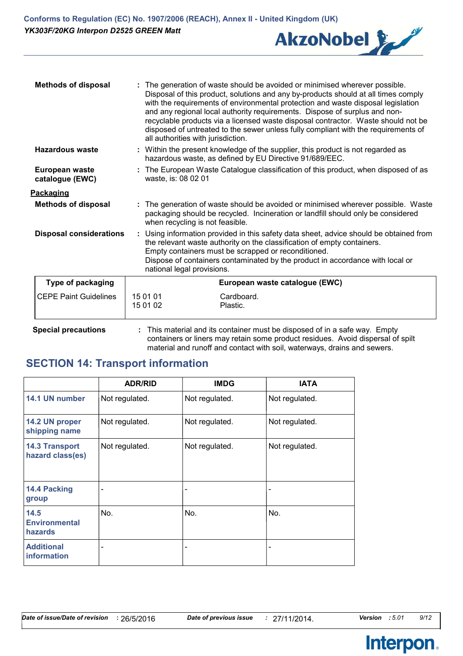

| <b>Methods of disposal</b>        | The generation of waste should be avoided or minimised wherever possible.<br>Disposal of this product, solutions and any by-products should at all times comply<br>with the requirements of environmental protection and waste disposal legislation<br>and any regional local authority requirements. Dispose of surplus and non-<br>recyclable products via a licensed waste disposal contractor. Waste should not be<br>disposed of untreated to the sewer unless fully compliant with the requirements of<br>all authorities with jurisdiction. |  |
|-----------------------------------|----------------------------------------------------------------------------------------------------------------------------------------------------------------------------------------------------------------------------------------------------------------------------------------------------------------------------------------------------------------------------------------------------------------------------------------------------------------------------------------------------------------------------------------------------|--|
| Hazardous waste                   | : Within the present knowledge of the supplier, this product is not regarded as<br>hazardous waste, as defined by EU Directive 91/689/EEC.                                                                                                                                                                                                                                                                                                                                                                                                         |  |
| European waste<br>catalogue (EWC) | : The European Waste Catalogue classification of this product, when disposed of as<br>waste, is: 08 02 01                                                                                                                                                                                                                                                                                                                                                                                                                                          |  |
| <u>Packaging</u>                  |                                                                                                                                                                                                                                                                                                                                                                                                                                                                                                                                                    |  |
| <b>Methods of disposal</b>        | : The generation of waste should be avoided or minimised wherever possible. Waste<br>packaging should be recycled. Incineration or landfill should only be considered<br>when recycling is not feasible.                                                                                                                                                                                                                                                                                                                                           |  |
| <b>Disposal considerations</b>    | : Using information provided in this safety data sheet, advice should be obtained from<br>the relevant waste authority on the classification of empty containers.<br>Empty containers must be scrapped or reconditioned.<br>Dispose of containers contaminated by the product in accordance with local or<br>national legal provisions.                                                                                                                                                                                                            |  |
| Type of packaging                 | European waste catalogue (EWC)                                                                                                                                                                                                                                                                                                                                                                                                                                                                                                                     |  |
| <b>CEPE Paint Guidelines</b>      | 15 01 01<br>Cardboard.<br>15 01 02<br>Plastic.                                                                                                                                                                                                                                                                                                                                                                                                                                                                                                     |  |

**Special precautions :** This material and its container must be disposed of in a safe way. Empty containers or liners may retain some product residues. Avoid dispersal of spilt material and runoff and contact with soil, waterways, drains and sewers.

### **SECTION 14: Transport information**

|                                           | <b>ADR/RID</b> | <b>IMDG</b>              | <b>IATA</b>    |
|-------------------------------------------|----------------|--------------------------|----------------|
| 14.1 UN number                            | Not regulated. | Not regulated.           | Not regulated. |
| 14.2 UN proper<br>shipping name           | Not regulated. | Not regulated.           | Not regulated. |
| <b>14.3 Transport</b><br>hazard class(es) | Not regulated. | Not regulated.           | Not regulated. |
| 14.4 Packing<br>group                     |                | -                        |                |
| 14.5<br><b>Environmental</b><br>hazards   | No.            | No.                      | No.            |
| <b>Additional</b><br>information          | -              | $\overline{\phantom{0}}$ |                |

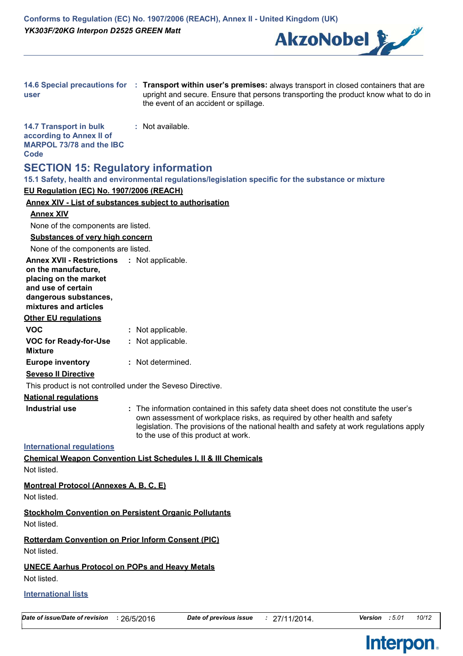

| user                                                                                                                                              | 14.6 Special precautions for : Transport within user's premises: always transport in closed containers that are<br>upright and secure. Ensure that persons transporting the product know what to do in<br>the event of an accident or spillage.                                                     |
|---------------------------------------------------------------------------------------------------------------------------------------------------|-----------------------------------------------------------------------------------------------------------------------------------------------------------------------------------------------------------------------------------------------------------------------------------------------------|
| <b>14.7 Transport in bulk</b><br>according to Annex II of<br><b>MARPOL 73/78 and the IBC</b><br>Code                                              | : Not available.                                                                                                                                                                                                                                                                                    |
| <b>SECTION 15: Regulatory information</b>                                                                                                         | 15.1 Safety, health and environmental regulations/legislation specific for the substance or mixture                                                                                                                                                                                                 |
| EU Regulation (EC) No. 1907/2006 (REACH)                                                                                                          |                                                                                                                                                                                                                                                                                                     |
|                                                                                                                                                   | <b>Annex XIV - List of substances subject to authorisation</b>                                                                                                                                                                                                                                      |
| <b>Annex XIV</b>                                                                                                                                  |                                                                                                                                                                                                                                                                                                     |
| None of the components are listed.                                                                                                                |                                                                                                                                                                                                                                                                                                     |
| <b>Substances of very high concern</b>                                                                                                            |                                                                                                                                                                                                                                                                                                     |
| None of the components are listed.                                                                                                                |                                                                                                                                                                                                                                                                                                     |
| <b>Annex XVII - Restrictions : Not applicable.</b><br>on the manufacture,<br>placing on the market<br>and use of certain<br>dangerous substances, |                                                                                                                                                                                                                                                                                                     |
| mixtures and articles                                                                                                                             |                                                                                                                                                                                                                                                                                                     |
| <b>Other EU regulations</b>                                                                                                                       |                                                                                                                                                                                                                                                                                                     |
| <b>VOC</b>                                                                                                                                        | : Not applicable.                                                                                                                                                                                                                                                                                   |
| <b>VOC for Ready-for-Use</b><br><b>Mixture</b>                                                                                                    | : Not applicable.                                                                                                                                                                                                                                                                                   |
| <b>Europe inventory</b>                                                                                                                           | : Not determined.                                                                                                                                                                                                                                                                                   |
| <b>Seveso II Directive</b>                                                                                                                        |                                                                                                                                                                                                                                                                                                     |
| This product is not controlled under the Seveso Directive.                                                                                        |                                                                                                                                                                                                                                                                                                     |
| <b>National requlations</b>                                                                                                                       |                                                                                                                                                                                                                                                                                                     |
| Industrial use                                                                                                                                    | : The information contained in this safety data sheet does not constitute the user's<br>own assessment of workplace risks, as required by other health and safety<br>legislation. The provisions of the national health and safety at work regulations apply<br>to the use of this product at work. |
| <b>International requlations</b>                                                                                                                  |                                                                                                                                                                                                                                                                                                     |
| Not listed.                                                                                                                                       | <b>Chemical Weapon Convention List Schedules I, II &amp; III Chemicals</b>                                                                                                                                                                                                                          |
| <b>Montreal Protocol (Annexes A, B, C, E)</b><br>Not listed.                                                                                      |                                                                                                                                                                                                                                                                                                     |
| Not listed.                                                                                                                                       | <b>Stockholm Convention on Persistent Organic Pollutants</b>                                                                                                                                                                                                                                        |
| <b>Rotterdam Convention on Prior Inform Consent (PIC)</b><br>Not listed.                                                                          |                                                                                                                                                                                                                                                                                                     |
| <b>UNECE Aarhus Protocol on POPs and Heavy Metals</b><br>Not listed.                                                                              |                                                                                                                                                                                                                                                                                                     |
| <b>International lists</b>                                                                                                                        |                                                                                                                                                                                                                                                                                                     |

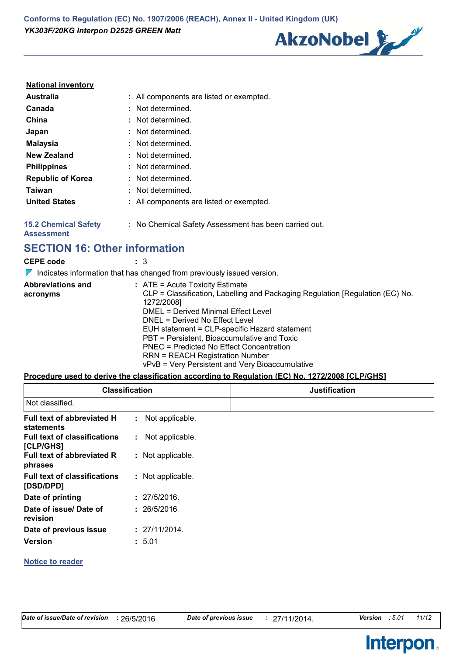

#### **National inventory**

| <b>Australia</b>         | : All components are listed or exempted. |
|--------------------------|------------------------------------------|
| Canada                   | : Not determined.                        |
| China                    | : Not determined.                        |
| Japan                    | : Not determined.                        |
| <b>Malaysia</b>          | : Not determined.                        |
| <b>New Zealand</b>       | : Not determined.                        |
| <b>Philippines</b>       | : Not determined.                        |
| <b>Republic of Korea</b> | : Not determined.                        |
| Taiwan                   | Not determined.                          |
| <b>United States</b>     | : All components are listed or exempted. |
|                          |                                          |

#### **15.2 Chemical Safety :** No Chemical Safety Assessment has been carried out.

**Assessment**

**SECTION 16: Other information**

| <b>CEPE code</b>                     | : 3<br>Indicates information that has changed from previously issued version.                                                                                                                                                                                                                                                                                                                                                                 |
|--------------------------------------|-----------------------------------------------------------------------------------------------------------------------------------------------------------------------------------------------------------------------------------------------------------------------------------------------------------------------------------------------------------------------------------------------------------------------------------------------|
| <b>Abbreviations and</b><br>acronyms | $:$ ATE = Acute Toxicity Estimate<br>CLP = Classification, Labelling and Packaging Regulation [Regulation (EC) No.<br>1272/2008]<br>DMEL = Derived Minimal Effect Level<br>$DNFL = Derived No Effect Level$<br>EUH statement = CLP-specific Hazard statement<br>PBT = Persistent, Bioaccumulative and Toxic<br>PNEC = Predicted No Effect Concentration<br>RRN = REACH Registration Number<br>vPvB = Very Persistent and Very Bioaccumulative |

#### **Procedure used to derive the classification according to Regulation (EC) No. 1272/2008 [CLP/GHS]**

| <b>Classification</b><br>Not classified.         |                   | <b>Justification</b> |
|--------------------------------------------------|-------------------|----------------------|
|                                                  |                   |                      |
| Full text of abbreviated H<br>statements         | : Not applicable. |                      |
| <b>Full text of classifications</b><br>[CLP/GHS] | : Not applicable. |                      |
| <b>Full text of abbreviated R</b><br>phrases     | : Not applicable. |                      |
| <b>Full text of classifications</b><br>[DSD/DPD] | : Not applicable. |                      |
| Date of printing                                 | : 27/5/2016.      |                      |
| Date of issue/ Date of<br>revision               | : 26/5/2016       |                      |
| Date of previous issue                           | : 27/11/2014.     |                      |
| <b>Version</b>                                   | : 5.01            |                      |
| <b>Notice to reader</b>                          |                   |                      |